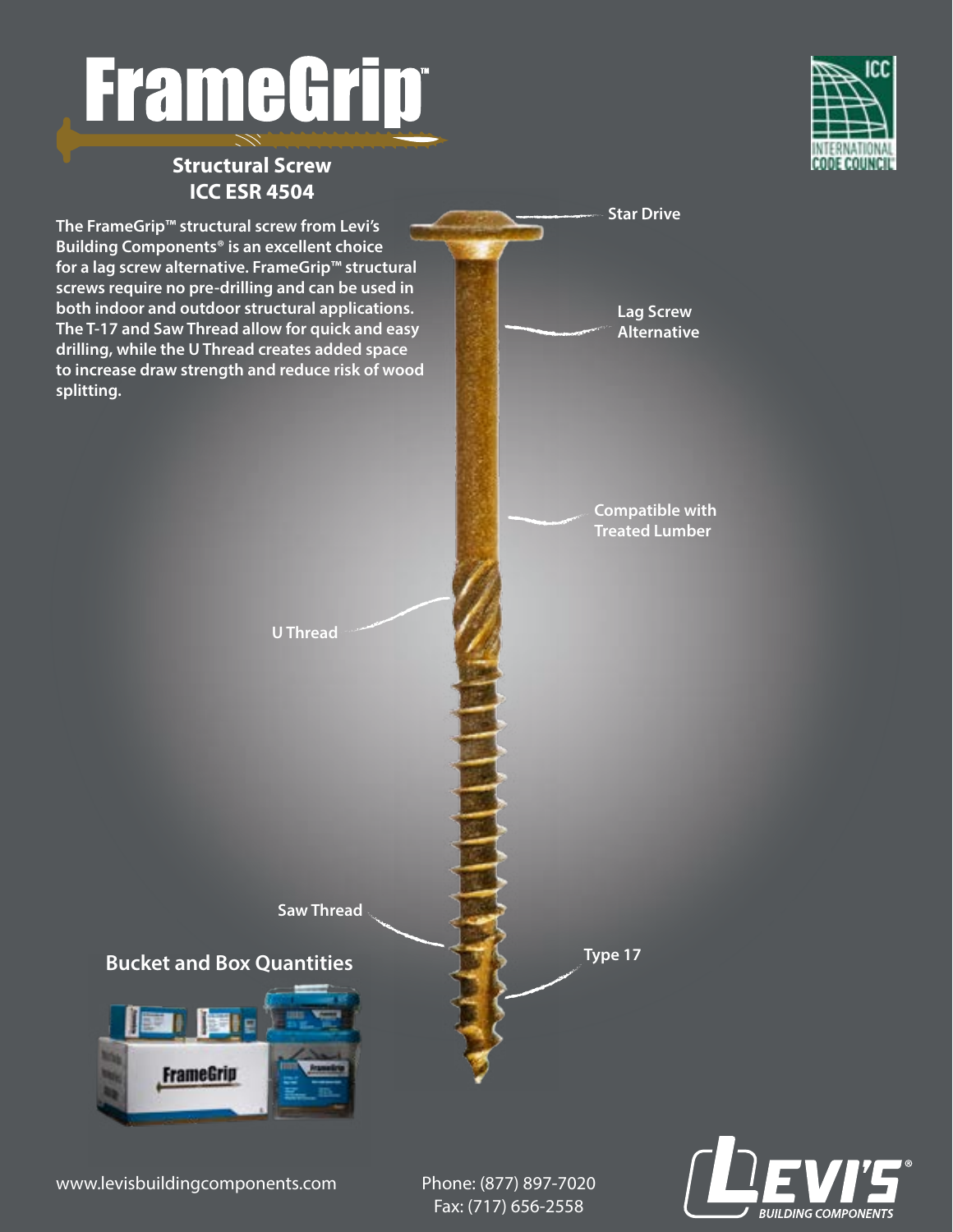# **FrameGript**

### **Structural Screw ICC ESR 4504**





www.levisbuildingcomponents.com Phone: (877) 897-7020

Fax: (717) 656-2558